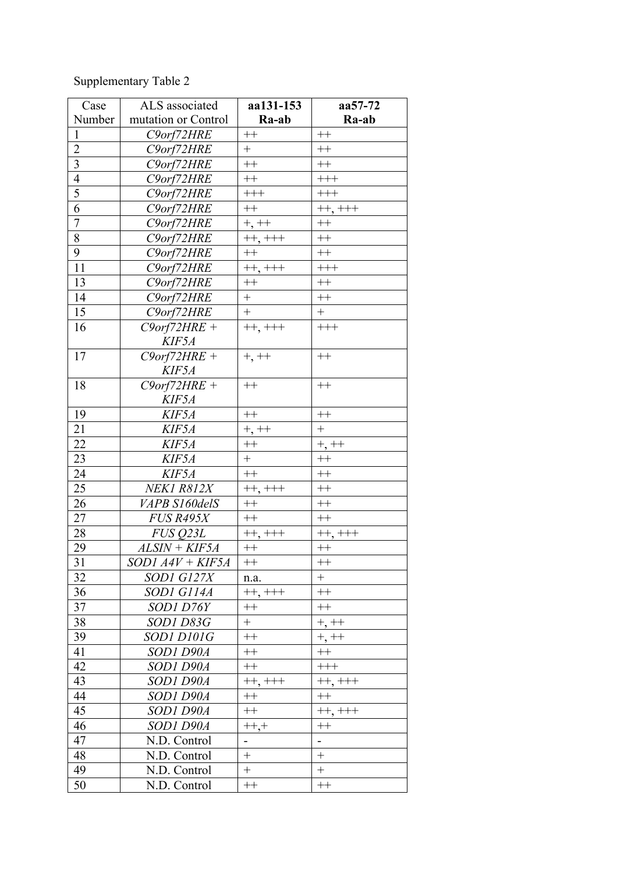## Supplementary Table 2

| Case                    | ALS associated       | aa131-153                | aa57-72                  |
|-------------------------|----------------------|--------------------------|--------------------------|
| Number                  | mutation or Control  | Ra-ab                    | Ra-ab                    |
| $\mathbf{1}$            | C9orf72HRE           | $^{++}\,$                | $^{++}\,$                |
| $\overline{2}$          | C9orf72HRE           | $+$                      | $^{++}$                  |
| $\overline{\mathbf{3}}$ | C9orf72HRE           | $^{++}\,$                | $++$                     |
| $\overline{4}$          | C9orf72HRE           | $++$                     | $^{+++}$                 |
| $\overline{5}$          | C9orf72HRE           | $\!+\!+\!+$              | $\!$                     |
| 6                       | C9orf72HRE           | $++$                     | $++, +++$                |
| $\overline{7}$          | C9orf72HRE           | $+, + +$                 | $^{++}$                  |
| 8                       | C9orf72HRE           | $++, +++$                | $^{++}$                  |
| 9                       | C9orf72HRE           | $++$                     | $^{++}$                  |
| 11                      | C9orf72HRE           | $++, +++$                | $^{+++}$                 |
| 13                      | C9orf72HRE           | $^{++}$                  | $^{++}$                  |
| 14                      | C9orf72HRE           | $+$                      | $^{++}$                  |
| 15                      | C9orf72HRE           | $+$                      | $+$                      |
| 16                      | $C9$ orf72HRE +      | $++, +++$                | $++++$                   |
|                         | KIF5A                |                          |                          |
| 17                      | $C9$ orf72HRE +      | $+, + +$                 | $++$                     |
|                         | KIF5A                |                          |                          |
| 18                      | $C9$ orf72HRE +      | $++$                     | $^{++}$                  |
|                         | KIF5A                |                          |                          |
| 19                      | KIF5A                | $++$                     | $^{++}\,$                |
| 21                      | KIF5A                | $+, + +$                 | $\ddot{}$                |
| 22                      | KIF5A                | $^{++}\,$                | $+, + +$                 |
| 23                      | KIF5A                | $+$                      | $++$                     |
| 24                      | KIF5A                | $^{++}$                  | $^{++}$                  |
| 25                      | NEK1 R812X           | $++, ++$                 | $^{++}$                  |
| 26                      | VAPB S160delS        | $++$                     | $++$                     |
| 27                      | <b>FUS R495X</b>     | $++$                     | $++$                     |
| 28                      | FUS Q23L             | $++, +++$                | $++, +++$                |
| 29                      | $ALSIM + KIF5A$      | $^{++}\,$                | $++$                     |
| 31                      | $SODI$ $A4V + KIF5A$ | $^{++}$                  | $^{++}$                  |
| 32                      | SOD1 G127X           | n.a.                     | $\qquad \qquad +$        |
| 36                      | SOD1 G114A           | $++, ++$                 | $^{++}\,$                |
| 37                      | SOD1 D76Y            | $++$                     | $^{++}\,$                |
| 38                      | <i>SOD1 D83G</i>     | $+$                      | $+, + +$                 |
| 39                      | SOD1 D101G           | $++$                     | $+, + +$                 |
| 41                      | SOD1 D90A            | $^{++}\,$                | $^{++}$                  |
| 42                      | SOD1 D90A            | $^{++}\,$                | $^{+++}$                 |
| 43                      | SOD1 D90A            | $++, +++$                | $++, +++$                |
| 44                      | SOD1 D90A            | $^{++}$                  | $^{++}$                  |
| 45                      | SOD1 D90A            | $^{++}\,$                | $++, +++$                |
| 46                      | SOD1 D90A            | $^{++,+}$                | $^{++}$                  |
| 47                      | N.D. Control         | $\overline{\phantom{0}}$ | $\overline{\phantom{a}}$ |
| 48                      | N.D. Control         | $\boldsymbol{+}$         |                          |
| 49                      | N.D. Control         | $\boldsymbol{+}$         |                          |
| 50                      | N.D. Control         | $^{++}$                  | $^{++}$                  |